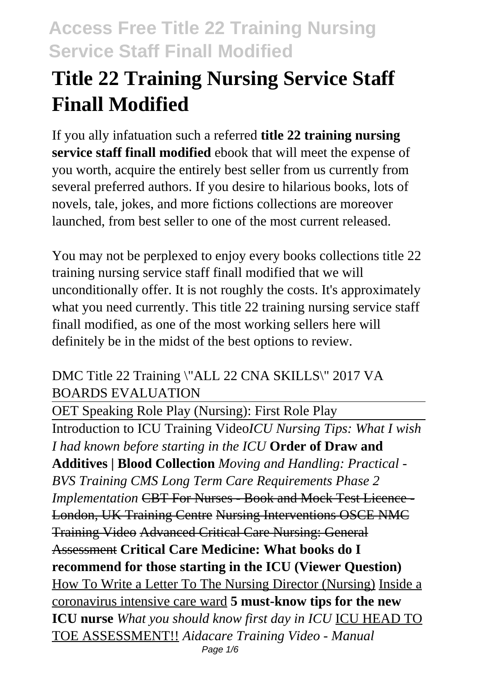# **Title 22 Training Nursing Service Staff Finall Modified**

If you ally infatuation such a referred **title 22 training nursing service staff finall modified** ebook that will meet the expense of you worth, acquire the entirely best seller from us currently from several preferred authors. If you desire to hilarious books, lots of novels, tale, jokes, and more fictions collections are moreover launched, from best seller to one of the most current released.

You may not be perplexed to enjoy every books collections title 22 training nursing service staff finall modified that we will unconditionally offer. It is not roughly the costs. It's approximately what you need currently. This title 22 training nursing service staff finall modified, as one of the most working sellers here will definitely be in the midst of the best options to review.

### DMC Title 22 Training \"ALL 22 CNA SKILLS\" 2017 VA BOARDS EVALUATION

OET Speaking Role Play (Nursing): First Role Play Introduction to ICU Training Video*ICU Nursing Tips: What I wish I had known before starting in the ICU* **Order of Draw and Additives | Blood Collection** *Moving and Handling: Practical - BVS Training CMS Long Term Care Requirements Phase 2 Implementation* CBT For Nurses - Book and Mock Test Licence - London, UK Training Centre Nursing Interventions OSCE NMC Training Video Advanced Critical Care Nursing: General Assessment **Critical Care Medicine: What books do I recommend for those starting in the ICU (Viewer Question)** How To Write a Letter To The Nursing Director (Nursing) Inside a coronavirus intensive care ward **5 must-know tips for the new ICU nurse** *What you should know first day in ICU* ICU HEAD TO TOE ASSESSMENT!! *Aidacare Training Video - Manual* Page 1/6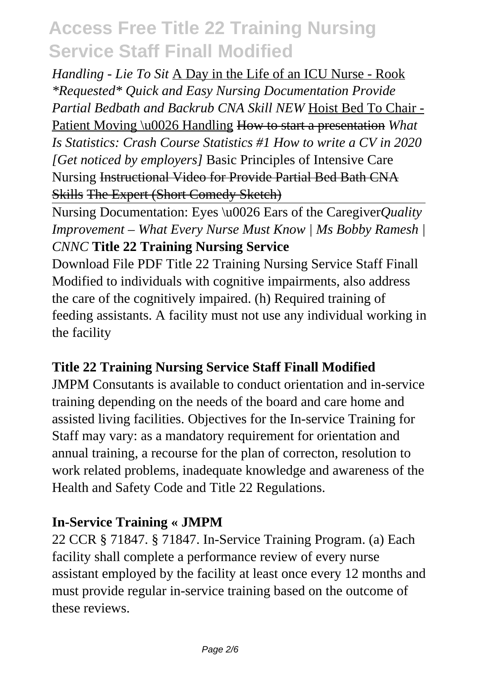### *Handling - Lie To Sit* A Day in the Life of an ICU Nurse - Rook *\*Requested\* Quick and Easy Nursing Documentation Provide Partial Bedbath and Backrub CNA Skill NEW* Hoist Bed To Chair - Patient Moving \u0026 Handling How to start a presentation *What Is Statistics: Crash Course Statistics #1 How to write a CV in 2020 [Get noticed by employers]* Basic Principles of Intensive Care Nursing Instructional Video for Provide Partial Bed Bath CNA Skills The Expert (Short Comedy Sketch)

Nursing Documentation: Eyes \u0026 Ears of the Caregiver*Quality Improvement – What Every Nurse Must Know | Ms Bobby Ramesh | CNNC* **Title 22 Training Nursing Service**

Download File PDF Title 22 Training Nursing Service Staff Finall Modified to individuals with cognitive impairments, also address the care of the cognitively impaired. (h) Required training of feeding assistants. A facility must not use any individual working in the facility

### **Title 22 Training Nursing Service Staff Finall Modified**

JMPM Consutants is available to conduct orientation and in-service training depending on the needs of the board and care home and assisted living facilities. Objectives for the In-service Training for Staff may vary: as a mandatory requirement for orientation and annual training, a recourse for the plan of correcton, resolution to work related problems, inadequate knowledge and awareness of the Health and Safety Code and Title 22 Regulations.

### **In-Service Training « JMPM**

22 CCR § 71847. § 71847. In-Service Training Program. (a) Each facility shall complete a performance review of every nurse assistant employed by the facility at least once every 12 months and must provide regular in-service training based on the outcome of these reviews.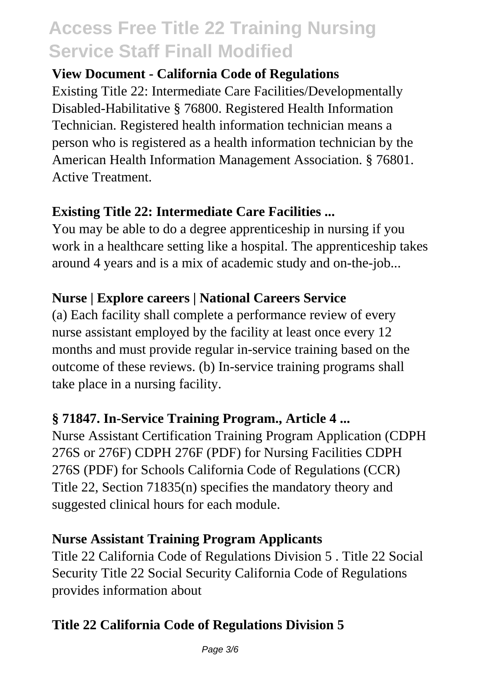#### **View Document - California Code of Regulations**

Existing Title 22: Intermediate Care Facilities/Developmentally Disabled-Habilitative § 76800. Registered Health Information Technician. Registered health information technician means a person who is registered as a health information technician by the American Health Information Management Association. § 76801. Active Treatment.

### **Existing Title 22: Intermediate Care Facilities ...**

You may be able to do a degree apprenticeship in nursing if you work in a healthcare setting like a hospital. The apprenticeship takes around 4 years and is a mix of academic study and on-the-job...

### **Nurse | Explore careers | National Careers Service**

(a) Each facility shall complete a performance review of every nurse assistant employed by the facility at least once every 12 months and must provide regular in-service training based on the outcome of these reviews. (b) In-service training programs shall take place in a nursing facility.

### **§ 71847. In-Service Training Program., Article 4 ...**

Nurse Assistant Certification Training Program Application (CDPH 276S or 276F) CDPH 276F (PDF) for Nursing Facilities CDPH 276S (PDF) for Schools California Code of Regulations (CCR) Title 22, Section 71835(n) specifies the mandatory theory and suggested clinical hours for each module.

#### **Nurse Assistant Training Program Applicants**

Title 22 California Code of Regulations Division 5 . Title 22 Social Security Title 22 Social Security California Code of Regulations provides information about

### **Title 22 California Code of Regulations Division 5**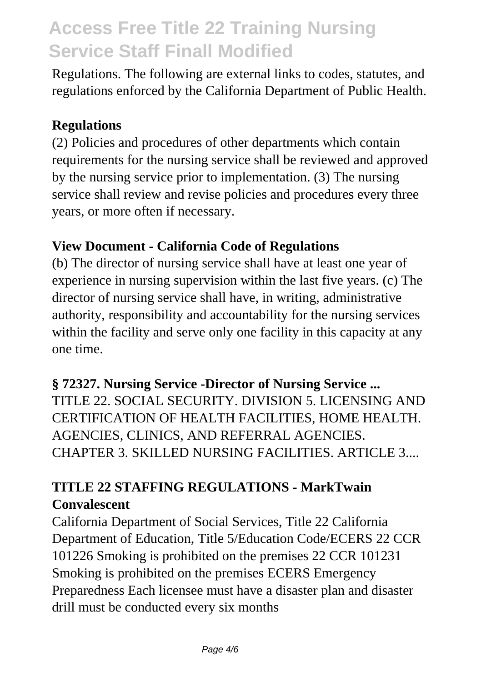Regulations. The following are external links to codes, statutes, and regulations enforced by the California Department of Public Health.

#### **Regulations**

(2) Policies and procedures of other departments which contain requirements for the nursing service shall be reviewed and approved by the nursing service prior to implementation. (3) The nursing service shall review and revise policies and procedures every three years, or more often if necessary.

### **View Document - California Code of Regulations**

(b) The director of nursing service shall have at least one year of experience in nursing supervision within the last five years. (c) The director of nursing service shall have, in writing, administrative authority, responsibility and accountability for the nursing services within the facility and serve only one facility in this capacity at any one time.

#### **§ 72327. Nursing Service -Director of Nursing Service ...**

TITLE 22. SOCIAL SECURITY. DIVISION 5. LICENSING AND CERTIFICATION OF HEALTH FACILITIES, HOME HEALTH. AGENCIES, CLINICS, AND REFERRAL AGENCIES. CHAPTER 3. SKILLED NURSING FACILITIES. ARTICLE 3....

### **TITLE 22 STAFFING REGULATIONS - MarkTwain Convalescent**

California Department of Social Services, Title 22 California Department of Education, Title 5/Education Code/ECERS 22 CCR 101226 Smoking is prohibited on the premises 22 CCR 101231 Smoking is prohibited on the premises ECERS Emergency Preparedness Each licensee must have a disaster plan and disaster drill must be conducted every six months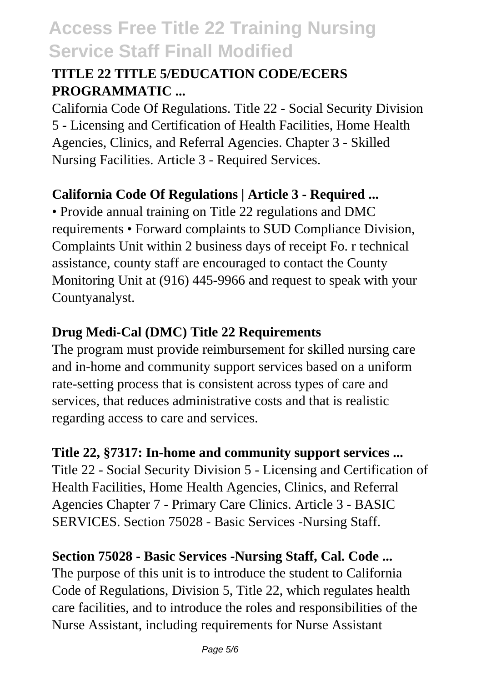### **TITLE 22 TITLE 5/EDUCATION CODE/ECERS PROGRAMMATIC ...**

California Code Of Regulations. Title 22 - Social Security Division 5 - Licensing and Certification of Health Facilities, Home Health Agencies, Clinics, and Referral Agencies. Chapter 3 - Skilled Nursing Facilities. Article 3 - Required Services.

### **California Code Of Regulations | Article 3 - Required ...**

• Provide annual training on Title 22 regulations and DMC requirements • Forward complaints to SUD Compliance Division, Complaints Unit within 2 business days of receipt Fo. r technical assistance, county staff are encouraged to contact the County Monitoring Unit at (916) 445-9966 and request to speak with your Countyanalyst.

### **Drug Medi-Cal (DMC) Title 22 Requirements**

The program must provide reimbursement for skilled nursing care and in-home and community support services based on a uniform rate-setting process that is consistent across types of care and services, that reduces administrative costs and that is realistic regarding access to care and services.

**Title 22, §7317: In-home and community support services ...** Title 22 - Social Security Division 5 - Licensing and Certification of Health Facilities, Home Health Agencies, Clinics, and Referral Agencies Chapter 7 - Primary Care Clinics. Article 3 - BASIC SERVICES. Section 75028 - Basic Services -Nursing Staff.

**Section 75028 - Basic Services -Nursing Staff, Cal. Code ...** The purpose of this unit is to introduce the student to California Code of Regulations, Division 5, Title 22, which regulates health care facilities, and to introduce the roles and responsibilities of the Nurse Assistant, including requirements for Nurse Assistant